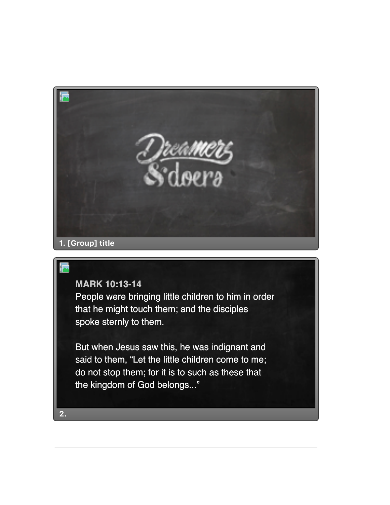

## **MARK 10:13-14**

People were bringing little children to him in order that he might touch them; and the disciples spoke sternly to them.

But when Jesus saw this, he was indignant and said to them, "Let the little children come to me; do not stop them; for it is to such as these that the kingdom of God belongs..."

**2.**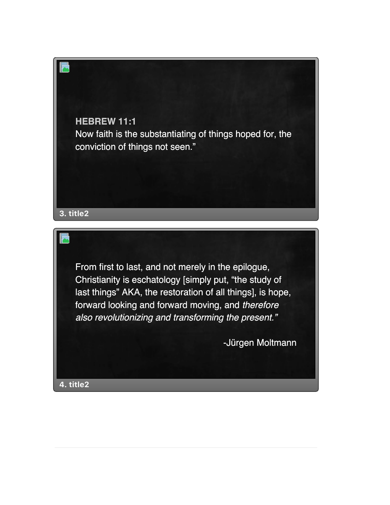

From first to last, and not merely in the epilogue, Christianity is eschatology [simply put, "the study of last things" AKA, the restoration of all things], is hope, forward looking and forward moving, and *therefore also revolutionizing and transforming the present."*

-Jürgen Moltmann

**4. title2**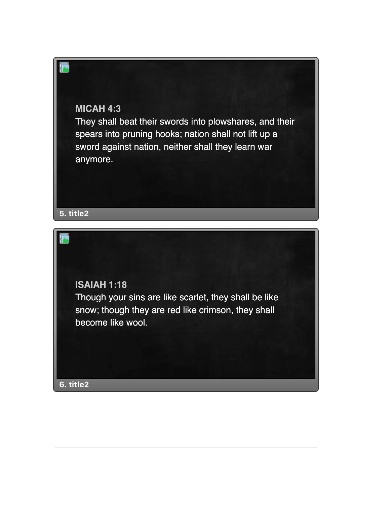## **MICAH 4:3**

They shall beat their swords into plowshares, and their spears into pruning hooks; nation shall not lift up a sword against nation, neither shall they learn war anymore.

**5. title2**

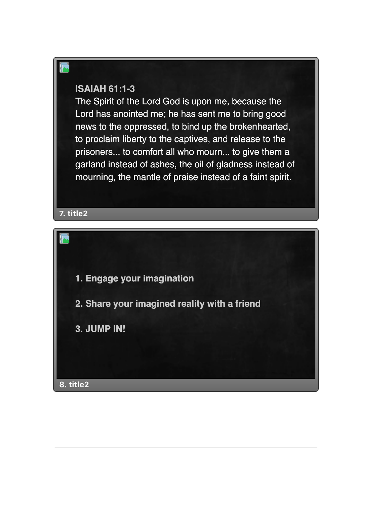## **ISAIAH 61:1-3**

The Spirit of the Lord God is upon me, because the Lord has anointed me; he has sent me to bring good news to the oppressed, to bind up the brokenhearted, to proclaim liberty to the captives, and release to the prisoners... to comfort all who mourn... to give them a garland instead of ashes, the oil of gladness instead of mourning, the mantle of praise instead of a faint spirit.

**7. title2**